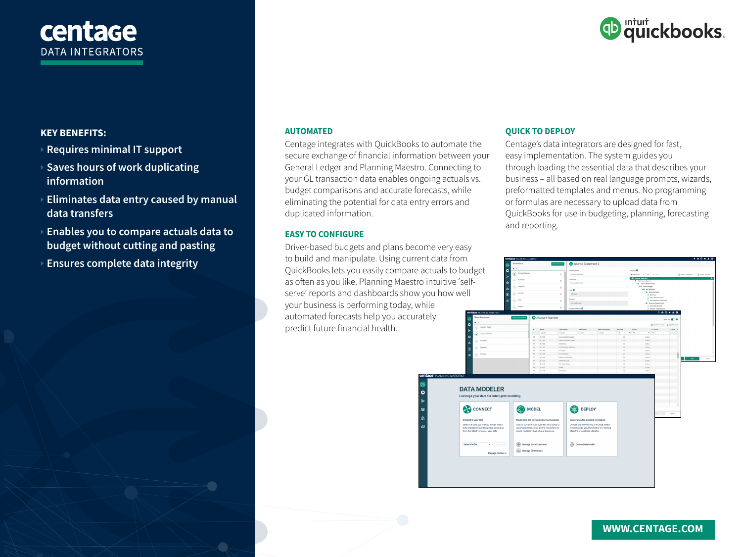# centage **DATA INTEGRATORS**



# **KEY BENEFITS:**

## } **Requires minimal IT support**

- } **Saves hours of work duplicating information**
- } **Eliminates data entry caused by manual data transfers**
- } **Enables you to compare actuals data to budget without cutting and pasting**
- } **Ensures complete data integrity**

#### **AUTOMATED**

Centage integrates with QuickBooks to automate the secure exchange of financial information between your General Ledger and Planning Maestro. Connecting to your GL transaction data enables ongoing actuals vs. budget comparisons and accurate forecasts, while eliminating the potential for data entry errors and duplicated information.

#### **EASY TO CONFIGURE**

Driver-based budgets and plans become very easy to build and manipulate. Using current data from QuickBooks lets you easily compare actuals to budget as often as you like. Planning Maestro intuitive 'selfserve' reports and dashboards show you how well your business is performing today, while automated forecasts help you accurately predict future financial health.

### **QUICK TO DEPLOY**

Centage's data integrators are designed for fast, easy implementation. The system guides you through loading the essential data that describes your business – all based on real language prompts, wizards, preformatted templates and menus. No programming or formulas are necessary to upload data from QuickBooks for use in budgeting, planning, forecasting and reporting.